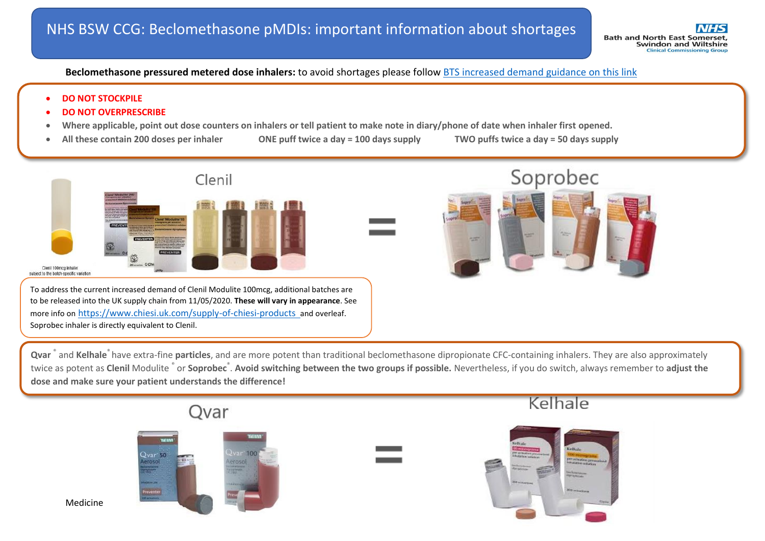**Beclomethasone pressured metered dose inhalers:** to avoid shortages please follow [BTS increased demand guidance on this link](https://nice.us8.list-manage.com/track/click?u=7864f766b10b8edd18f19aa56&id=827a14ed15&e=21f7a1dc6e)

- **DO NOT STOCKPILE**
- **DO NOT OVERPRESCRIBE**
- **Where applicable, point out dose counters on inhalers or tell patient to make note in diary/phone of date when inhaler first opened.**
- 

**All these contain 200 doses per inhaler ONE puff twice a day = 100 days supply TWO puffs twice a day = 50 days supply**



**Qvar** ® and **Kelhale**® have extra-fine **particles**, and are more potent than traditional beclomethasone dipropionate CFC-containing inhalers. They are also approximately twice as potent as **Clenil** Modulite <sup>®</sup> or **Soprobec** ®. Avoid switching between the two groups if possible. Nevertheless, if you do switch, always remember to adjust the **dose and make sure your patient understands the difference!**



**Medicine**